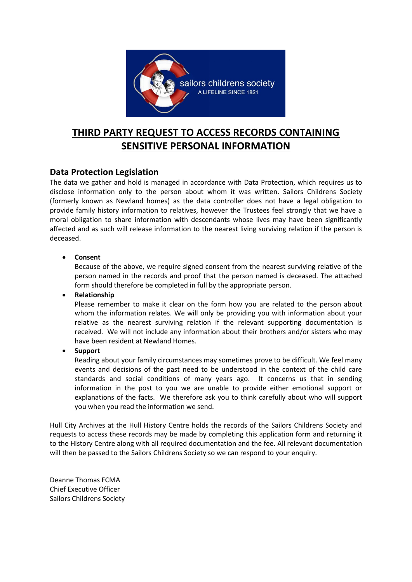

# **THIRD PARTY REQUEST TO ACCESS RECORDS CONTAINING SENSITIVE PERSONAL INFORMATION**

### **Data Protection Legislation**

The data we gather and hold is managed in accordance with Data Protection, which requires us to disclose information only to the person about whom it was written. Sailors Childrens Society (formerly known as Newland homes) as the data controller does not have a legal obligation to provide family history information to relatives, however the Trustees feel strongly that we have a moral obligation to share information with descendants whose lives may have been significantly affected and as such will release information to the nearest living surviving relation if the person is deceased.

#### **Consent**

Because of the above, we require signed consent from the nearest surviving relative of the person named in the records and proof that the person named is deceased. The attached form should therefore be completed in full by the appropriate person.

**Relationship**

Please remember to make it clear on the form how you are related to the person about whom the information relates. We will only be providing you with information about your relative as the nearest surviving relation if the relevant supporting documentation is received. We will not include any information about their brothers and/or sisters who may have been resident at Newland Homes.

**Support**

Reading about your family circumstances may sometimes prove to be difficult. We feel many events and decisions of the past need to be understood in the context of the child care standards and social conditions of many years ago. It concerns us that in sending information in the post to you we are unable to provide either emotional support or explanations of the facts. We therefore ask you to think carefully about who will support you when you read the information we send.

Hull City Archives at the Hull History Centre holds the records of the Sailors Childrens Society and requests to access these records may be made by completing this application form and returning it to the History Centre along with all required documentation and the fee. All relevant documentation will then be passed to the Sailors Childrens Society so we can respond to your enquiry.

Deanne Thomas FCMA Chief Executive Officer Sailors Childrens Society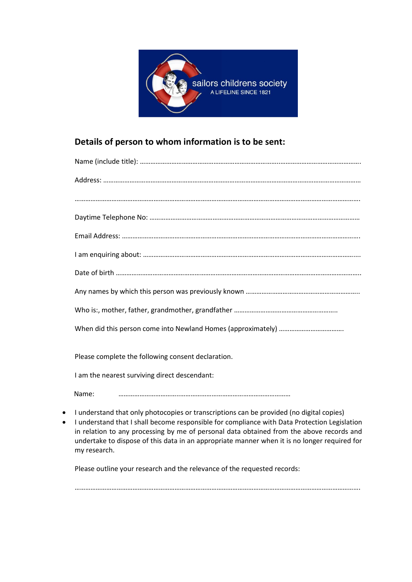

## **Details of person to whom information is to be sent:**

| Please complete the following consent declaration. |
|----------------------------------------------------|
| I am the nearest surviving direct descendant:      |

Name: ……………………………..………………………………………………………

- I understand that only photocopies or transcriptions can be provided (no digital copies)
- I understand that I shall become responsible for compliance with Data Protection Legislation in relation to any processing by me of personal data obtained from the above records and undertake to dispose of this data in an appropriate manner when it is no longer required for my research.

Please outline your research and the relevance of the requested records:

……………………………………………………………………………………………………………………………………………….